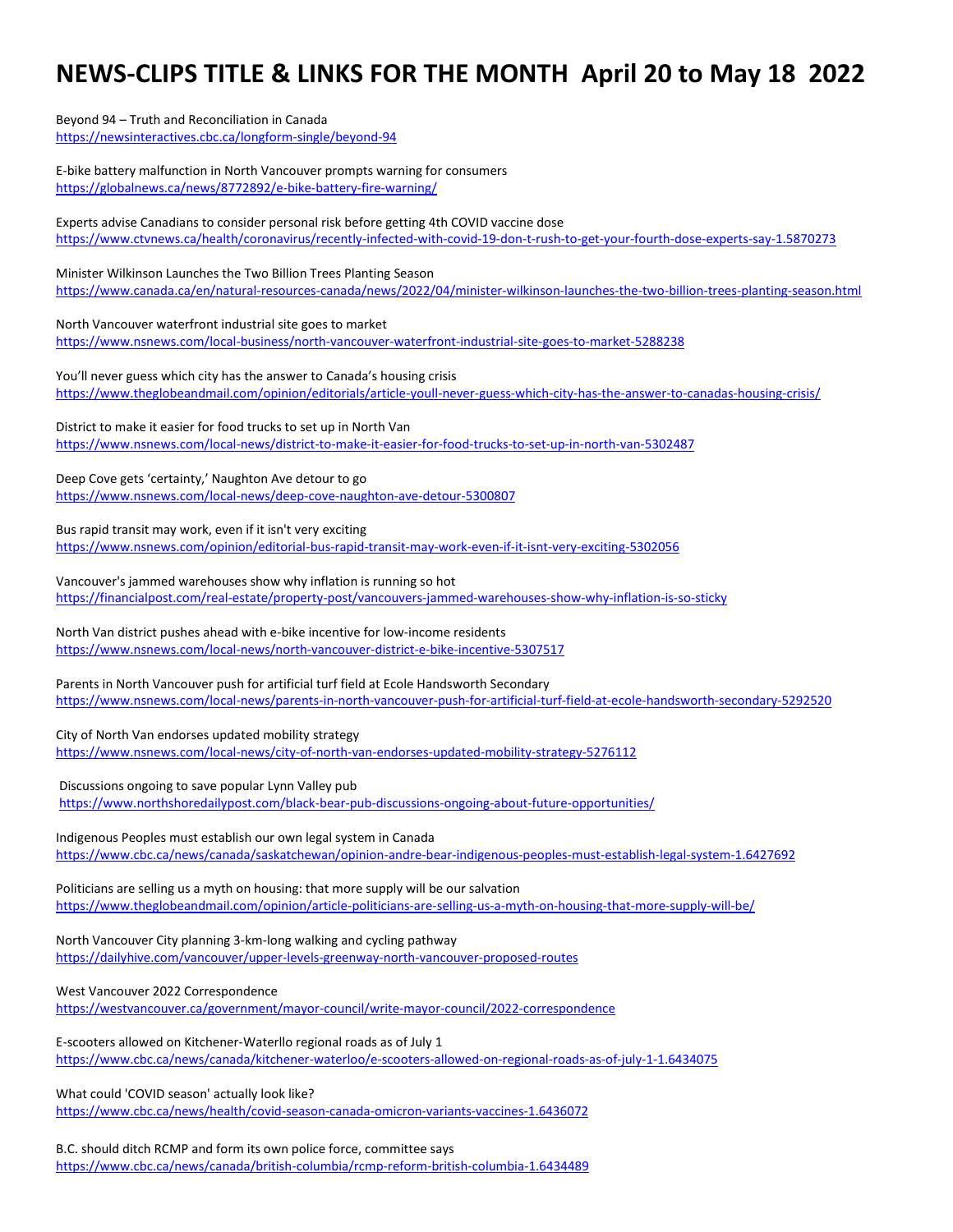# **NEWS-CLIPS TITLE & LINKS FOR THE MONTH April 20 to May 18 2022**

Beyond 94 – Truth and Reconciliation in Canada <https://newsinteractives.cbc.ca/longform-single/beyond-94>

E-bike battery malfunction in North Vancouver prompts warning for consumers <https://globalnews.ca/news/8772892/e-bike-battery-fire-warning/>

Experts advise Canadians to consider personal risk before getting 4th COVID vaccine dose <https://www.ctvnews.ca/health/coronavirus/recently-infected-with-covid-19-don-t-rush-to-get-your-fourth-dose-experts-say-1.5870273>

Minister Wilkinson Launches the Two Billion Trees Planting Season <https://www.canada.ca/en/natural-resources-canada/news/2022/04/minister-wilkinson-launches-the-two-billion-trees-planting-season.html>

North Vancouver waterfront industrial site goes to market <https://www.nsnews.com/local-business/north-vancouver-waterfront-industrial-site-goes-to-market-5288238>

You'll never guess which city has the answer to Canada's housing crisis <https://www.theglobeandmail.com/opinion/editorials/article-youll-never-guess-which-city-has-the-answer-to-canadas-housing-crisis/>

District to make it easier for food trucks to set up in North Van <https://www.nsnews.com/local-news/district-to-make-it-easier-for-food-trucks-to-set-up-in-north-van-5302487>

Deep Cove gets 'certainty,' Naughton Ave detour to go <https://www.nsnews.com/local-news/deep-cove-naughton-ave-detour-5300807>

Bus rapid transit may work, even if it isn't very exciting <https://www.nsnews.com/opinion/editorial-bus-rapid-transit-may-work-even-if-it-isnt-very-exciting-5302056>

Vancouver's jammed warehouses show why inflation is running so hot <https://financialpost.com/real-estate/property-post/vancouvers-jammed-warehouses-show-why-inflation-is-so-sticky>

North Van district pushes ahead with e-bike incentive for low-income residents <https://www.nsnews.com/local-news/north-vancouver-district-e-bike-incentive-5307517>

Parents in North Vancouver push for artificial turf field at Ecole Handsworth Secondary <https://www.nsnews.com/local-news/parents-in-north-vancouver-push-for-artificial-turf-field-at-ecole-handsworth-secondary-5292520>

City of North Van endorses updated mobility strategy

<https://www.nsnews.com/local-news/city-of-north-van-endorses-updated-mobility-strategy-5276112>

Discussions ongoing to save popular Lynn Valley pub

<https://www.northshoredailypost.com/black-bear-pub-discussions-ongoing-about-future-opportunities/>

Indigenous Peoples must establish our own legal system in Canada

<https://www.cbc.ca/news/canada/saskatchewan/opinion-andre-bear-indigenous-peoples-must-establish-legal-system-1.6427692>

Politicians are selling us a myth on housing: that more supply will be our salvation <https://www.theglobeandmail.com/opinion/article-politicians-are-selling-us-a-myth-on-housing-that-more-supply-will-be/>

North Vancouver City planning 3-km-long walking and cycling pathway <https://dailyhive.com/vancouver/upper-levels-greenway-north-vancouver-proposed-routes>

West Vancouver 2022 Correspondence

<https://westvancouver.ca/government/mayor-council/write-mayor-council/2022-correspondence>

E-scooters allowed on Kitchener-Waterllo regional roads as of July 1 <https://www.cbc.ca/news/canada/kitchener-waterloo/e-scooters-allowed-on-regional-roads-as-of-july-1-1.6434075>

What could 'COVID season' actually look like?

<https://www.cbc.ca/news/health/covid-season-canada-omicron-variants-vaccines-1.6436072>

B.C. should ditch RCMP and form its own police force, committee says <https://www.cbc.ca/news/canada/british-columbia/rcmp-reform-british-columbia-1.6434489>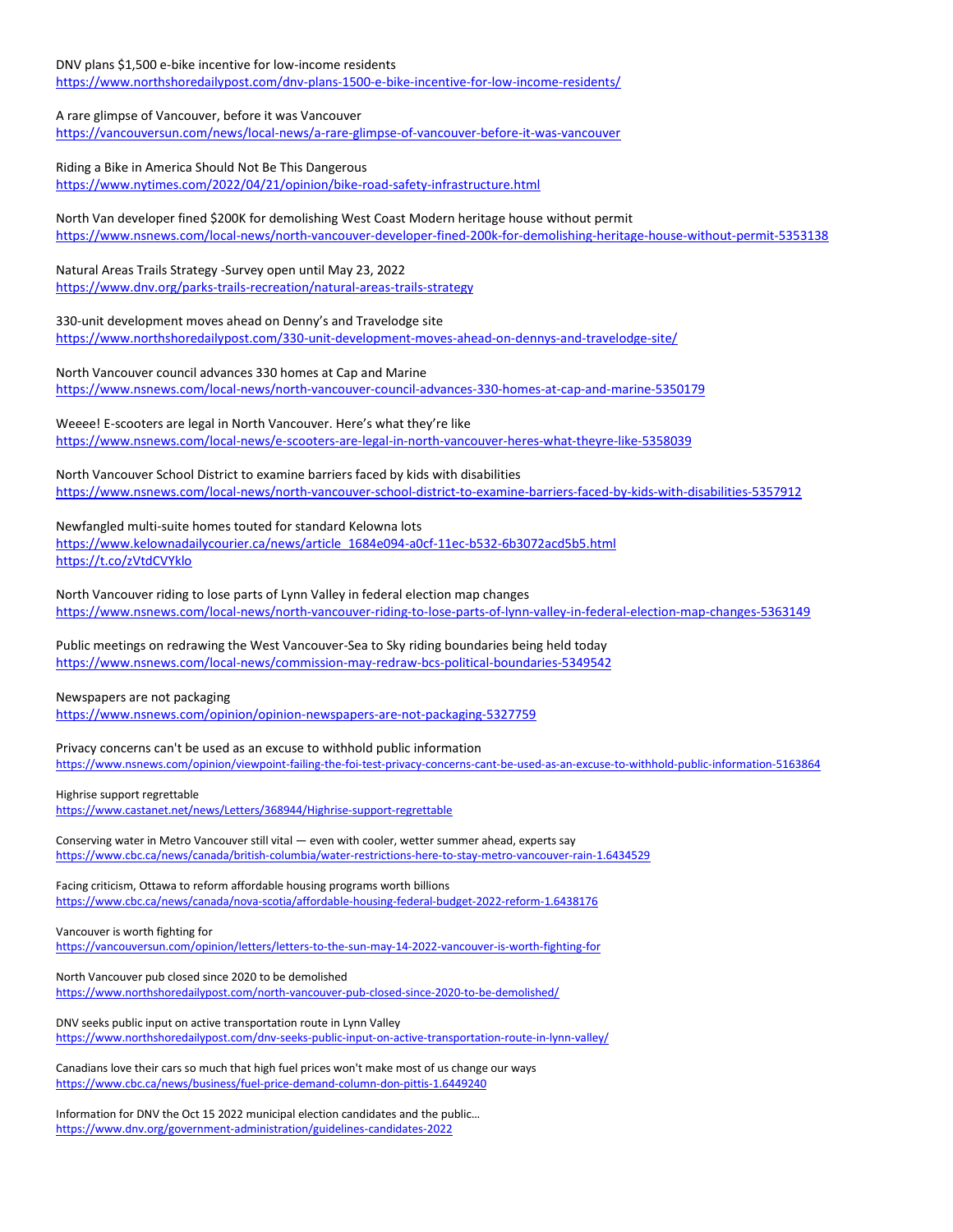DNV plans \$1,500 e-bike incentive for low-income residents <https://www.northshoredailypost.com/dnv-plans-1500-e-bike-incentive-for-low-income-residents/>

# A rare glimpse of Vancouver, before it was Vancouver

<https://vancouversun.com/news/local-news/a-rare-glimpse-of-vancouver-before-it-was-vancouver>

## Riding a Bike in America Should Not Be This Dangerous

<https://www.nytimes.com/2022/04/21/opinion/bike-road-safety-infrastructure.html>

North Van developer fined \$200K for demolishing West Coast Modern heritage house without permit <https://www.nsnews.com/local-news/north-vancouver-developer-fined-200k-for-demolishing-heritage-house-without-permit-5353138>

## Natural Areas Trails Strategy -Survey open until May 23, 2022

<https://www.dnv.org/parks-trails-recreation/natural-areas-trails-strategy>

## 330-unit development moves ahead on Denny's and Travelodge site

<https://www.northshoredailypost.com/330-unit-development-moves-ahead-on-dennys-and-travelodge-site/>

#### North Vancouver council advances 330 homes at Cap and Marine

<https://www.nsnews.com/local-news/north-vancouver-council-advances-330-homes-at-cap-and-marine-5350179>

# Weeee! E-scooters are legal in North Vancouver. Here's what they're like

<https://www.nsnews.com/local-news/e-scooters-are-legal-in-north-vancouver-heres-what-theyre-like-5358039>

## North Vancouver School District to examine barriers faced by kids with disabilities

<https://www.nsnews.com/local-news/north-vancouver-school-district-to-examine-barriers-faced-by-kids-with-disabilities-5357912>

## Newfangled multi-suite homes touted for standard Kelowna lots

[https://www.kelownadailycourier.ca/news/article\\_1684e094-a0cf-11ec-b532-6b3072acd5b5.html](https://www.kelownadailycourier.ca/news/article_1684e094-a0cf-11ec-b532-6b3072acd5b5.html) <https://t.co/zVtdCVYklo>

North Vancouver riding to lose parts of Lynn Valley in federal election map changes <https://www.nsnews.com/local-news/north-vancouver-riding-to-lose-parts-of-lynn-valley-in-federal-election-map-changes-5363149>

## Public meetings on redrawing the West Vancouver-Sea to Sky riding boundaries being held today <https://www.nsnews.com/local-news/commission-may-redraw-bcs-political-boundaries-5349542>

#### Newspapers are not packaging

<https://www.nsnews.com/opinion/opinion-newspapers-are-not-packaging-5327759>

Privacy concerns can't be used as an excuse to withhold public information <https://www.nsnews.com/opinion/viewpoint-failing-the-foi-test-privacy-concerns-cant-be-used-as-an-excuse-to-withhold-public-information-5163864>

Highrise support regrettable <https://www.castanet.net/news/Letters/368944/Highrise-support-regrettable>

Conserving water in Metro Vancouver still vital — even with cooler, wetter summer ahead, experts say <https://www.cbc.ca/news/canada/british-columbia/water-restrictions-here-to-stay-metro-vancouver-rain-1.6434529>

#### Facing criticism, Ottawa to reform affordable housing programs worth billions <https://www.cbc.ca/news/canada/nova-scotia/affordable-housing-federal-budget-2022-reform-1.6438176>

# Vancouver is worth fighting for

<https://vancouversun.com/opinion/letters/letters-to-the-sun-may-14-2022-vancouver-is-worth-fighting-for>

## North Vancouver pub closed since 2020 to be demolished <https://www.northshoredailypost.com/north-vancouver-pub-closed-since-2020-to-be-demolished/>

DNV seeks public input on active transportation route in Lynn Valley <https://www.northshoredailypost.com/dnv-seeks-public-input-on-active-transportation-route-in-lynn-valley/>

Canadians love their cars so much that high fuel prices won't make most of us change our ways <https://www.cbc.ca/news/business/fuel-price-demand-column-don-pittis-1.6449240>

Information for DNV the Oct 15 2022 municipal election candidates and the public… <https://www.dnv.org/government-administration/guidelines-candidates-2022>